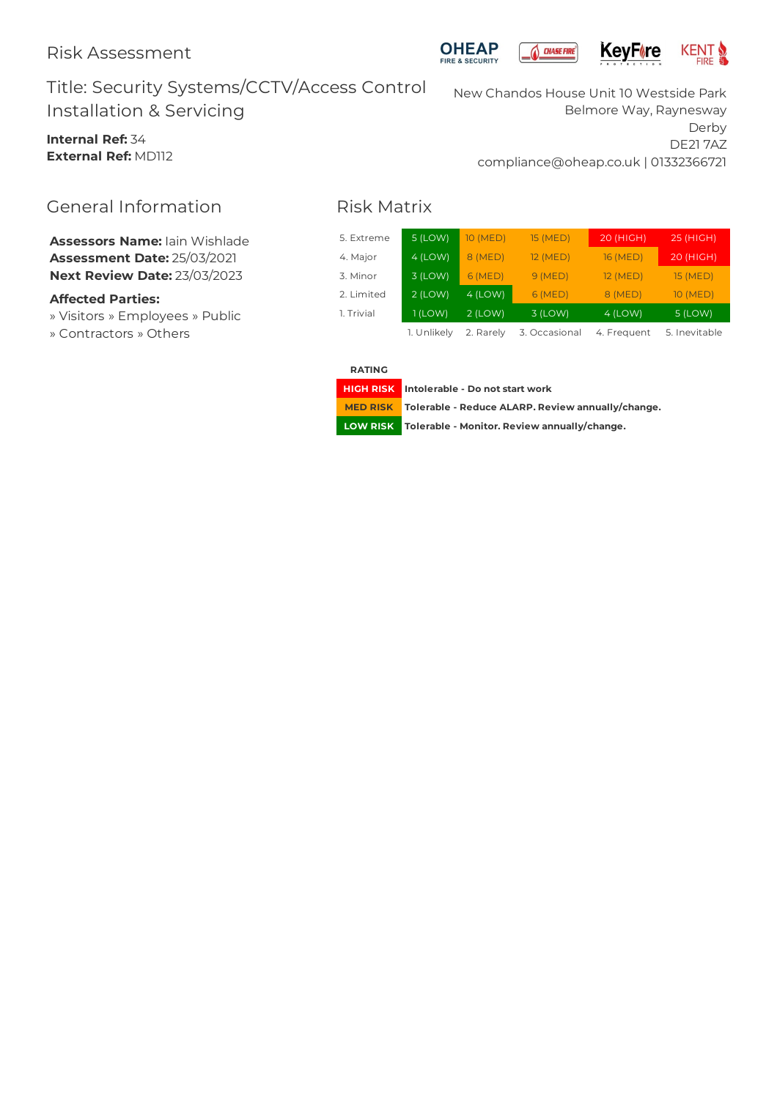



# Title: Security Systems/CCTV/Access Control Installation & Servicing

**Internal Ref:** 34 **External Ref:** MD112 New Chandos House Unit 10 Westside Park Belmore Way, Raynesway Derby DE21 7AZ compliance@oheap.co.uk | 01332366721

# General Information

**Assessors Name:** Iain Wishlade **Assessment Date:** 25/03/2021 **Next Review Date:** 23/03/2023

### **Affected Parties:**

- » Visitors » Employees » Public
- » Contractors » Others

# Risk Matrix

| 5. Extreme | 5 (LOW)     | 10 (MED)  | <b>15 (MED)</b> | 20 (HIGH)   | 25 (HIGH)       |
|------------|-------------|-----------|-----------------|-------------|-----------------|
| 4. Major   | $4$ (LOW)   | 8 (MED)   | 12 (MED)        | 16 (MED)    | 20 (HIGH)       |
| 3. Minor   | $3$ (LOW)   | 6 (MED)   | 9(MED)          | 12 (MED)    | <b>15 (MED)</b> |
| 2. Limited | $2$ (LOW)   | $4$ (LOW) | 6 (MED)         | 8 (MED)     | 10 (MED)        |
| 1. Trivial | $1$ (LOW)   | $2$ (LOW) | 3 (LOW)         | $4$ (LOW)   | 5 (LOW)         |
|            | 1. Unlikely | 2. Rarely | 3. Occasional   | 4. Frequent | 5. Inevitable   |

**RATING**

**HIGH RISK Intolerable - Do notstart work**

**MED RISK Tolerable - Reduce ALARP. Review annually/change.**

**LOW RISK Tolerable - Monitor. Review annually/change.**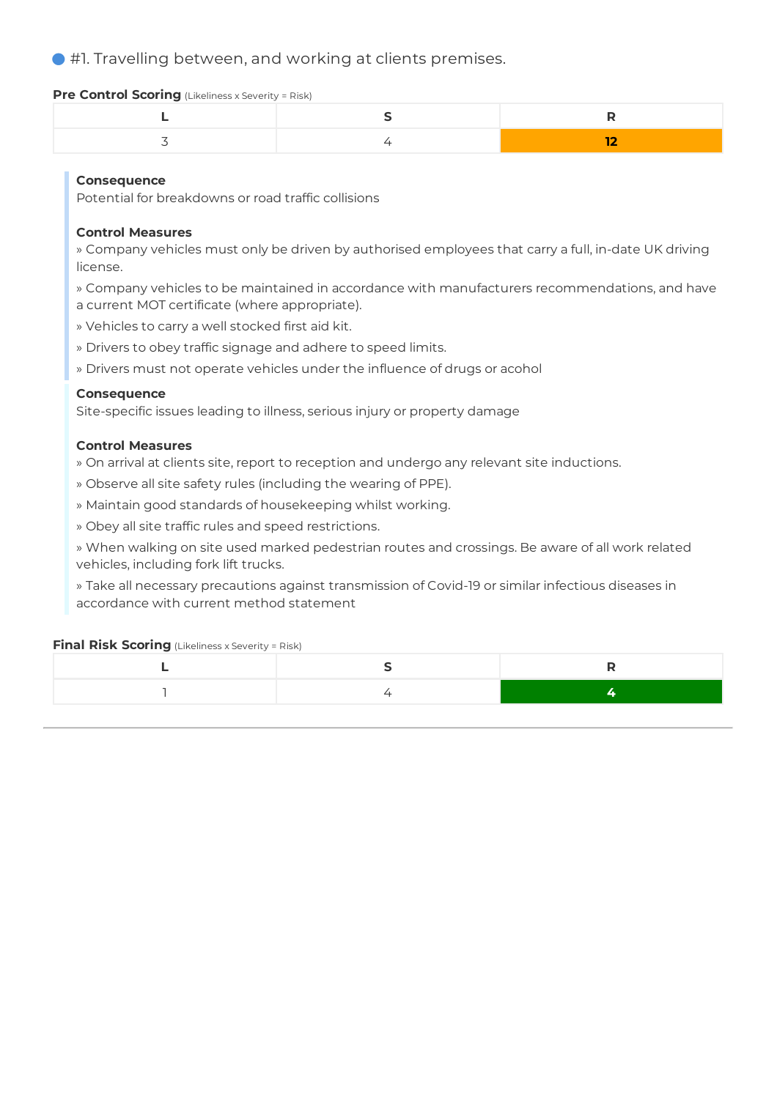#1. Travelling between, and working at clients premises.

### **Pre Control Scoring** (Likeliness x Severity = Risk)

## **Consequence**

Potential for breakdowns or road traffic collisions

## **Control Measures**

» Company vehicles must only be driven by authorised employees that carry a full, in-date UK driving license.

- » Company vehicles to be maintained in accordance with manufacturers recommendations, and have
- a current MOT certificate (where appropriate).
- » Vehicles to carry a well stocked first aid kit.
- » Drivers to obey traffic signage and adhere to speed limits.
- » Drivers must not operate vehicles under the influence of drugs or acohol

## **Consequence**

Site-specific issues leading to illness, serious injury or property damage

### **Control Measures**

- » On arrival at clients site, report to reception and undergo any relevant site inductions.
- » Observe all site safety rules (including the wearing of PPE).
- » Maintain good standards of housekeeping whilst working.
- » Obey all site traffic rules and speed restrictions.

» When walking on site used marked pedestrian routes and crossings. Be aware of all work related vehicles, including fork lift trucks.

» Take all necessary precautions against transmission of Covid-19 or similar infectious diseases in accordance with current method statement

### **Final Risk Scoring** (Likeliness x Severity = Risk)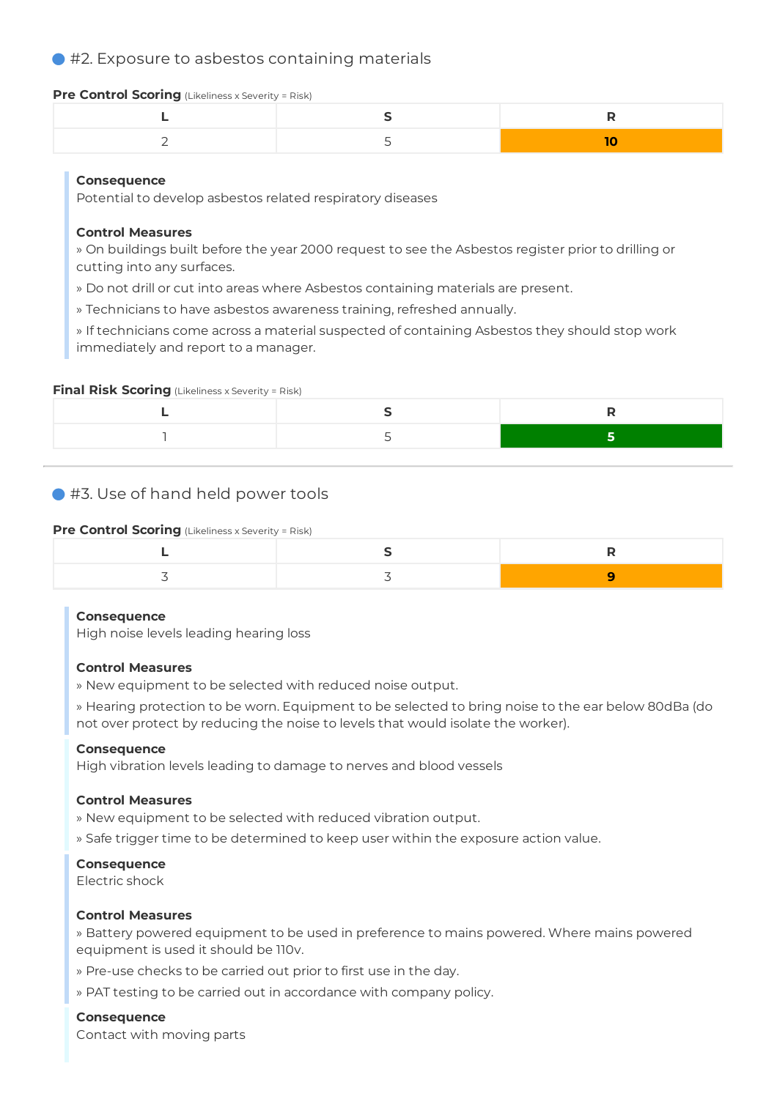## ● #2. Exposure to asbestos containing materials

#### **Pre Control Scoring** (Likeliness x Severity = Risk)

## **Consequence**

Potential to develop asbestos related respiratory diseases

### **Control Measures**

» On buildings built before the year 2000 request to see the Asbestos register prior to drilling or cutting into any surfaces.

» Do not drill or cut into areas where Asbestos containing materials are present.

» Technicians to have asbestos awareness training, refreshed annually.

» If technicians come across a material suspected of containing Asbestos they should stop work immediately and report to a manager.

#### **Final Risk Scoring** (Likeliness x Severity = Risk)

## ● #3. Use of hand held power tools

#### **Pre Control Scoring** (Likeliness x Severity = Risk)

#### **Consequence**

High noise levels leading hearing loss

#### **Control Measures**

» New equipment to be selected with reduced noise output.

» Hearing protection to be worn. Equipment to be selected to bring noise to the ear below 80dBa (do not over protect by reducing the noise to levels that would isolate the worker).

#### **Consequence**

High vibration levels leading to damage to nerves and blood vessels

#### **Control Measures**

» New equipment to be selected with reduced vibration output.

» Safe trigger time to be determined to keep user within the exposure action value.

#### **Consequence**

Electric shock

#### **Control Measures**

» Battery powered equipment to be used in preference to mains powered. Where mains powered equipment is used it should be 110v.

- » Pre-use checks to be carried out prior to first use in the day.
- » PAT testing to be carried out in accordance with company policy.

## **Consequence**

Contact with moving parts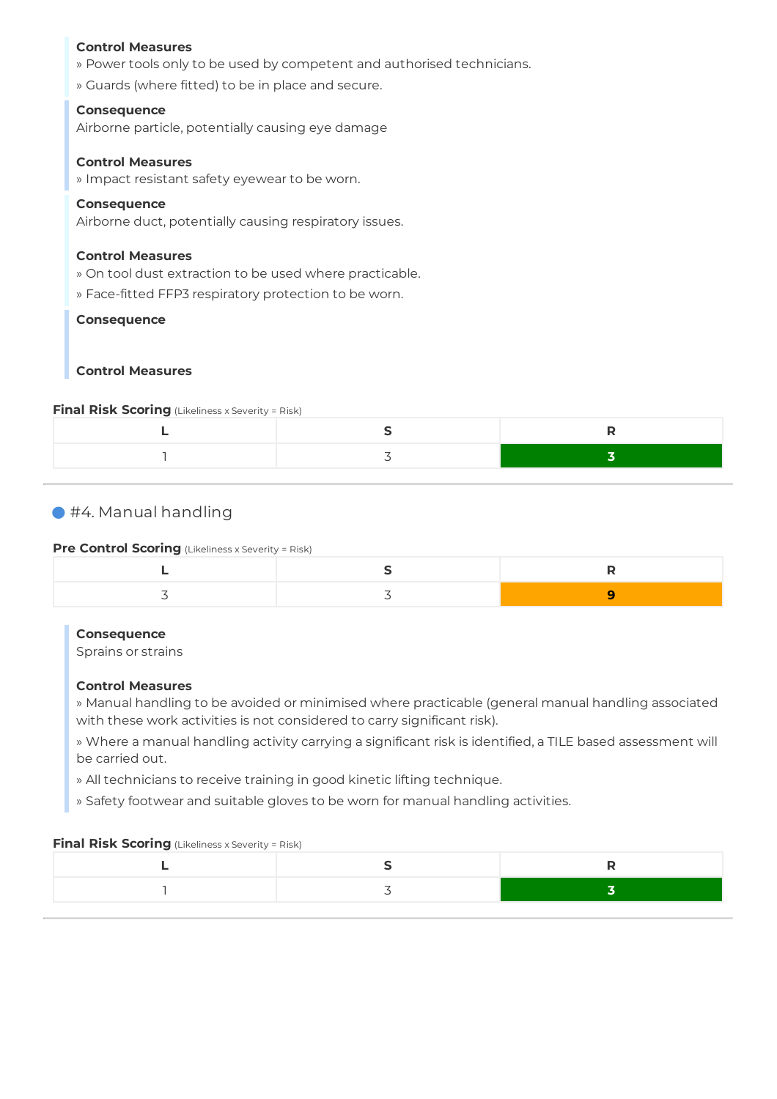#### **Control Measures**

- » Power tools only to be used by competent and authorised technicians.
- » Guards (where fitted) to be in place and secure.

#### **Consequence**

Airborne particle, potentially causing eye damage

#### **Control Measures**

» Impact resistant safety eyewear to be worn.

#### **Consequence**

Airborne duct, potentially causing respiratory issues.

#### **Control Measures**

- » On tool dust extraction to be used where practicable.
- » Face-fitted FFP3 respiratory protection to be worn.

#### **Consequence**

## **Control Measures**

#### **Final Risk Scoring** (Likeliness x Severity = Risk)

## #4. Manual handling

## **Pre Control Scoring** (Likeliness x Severity = Risk)

#### **Consequence**

Sprains or strains

#### **Control Measures**

» Manual handling to be avoided or minimised where practicable (general manual handling associated with these work activities is not considered to carry significant risk).

» Where a manual handling activity carrying a significant risk is identified, a TILE based assessment will be carried out.

- » All technicians to receive training in good kinetic lifting technique.
- » Safety footwear and suitable gloves to be worn for manual handling activities.

#### **Final Risk Scoring** (Likeliness x Severity = Risk)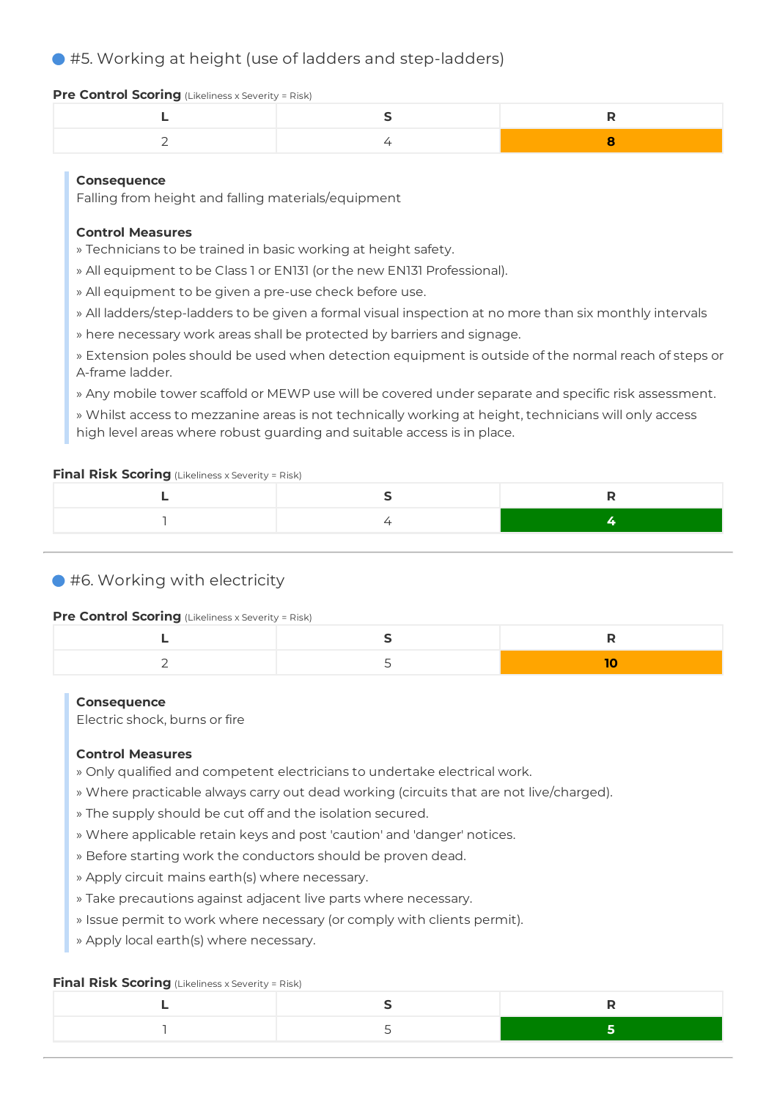## ● #5. Working at height (use of ladders and step-ladders)

#### **Pre Control Scoring** (Likeliness x Severity = Risk)

## **Consequence**

Falling from height and falling materials/equipment

## **Control Measures**

- » Technicians to be trained in basic working at height safety.
- » All equipment to be Class 1 or EN131 (or the new EN131 Professional).
- » All equipment to be given a pre-use check before use.
- » All ladders/step-ladders to be given a formal visual inspection at no more than six monthly intervals
- » here necessary work areas shall be protected by barriers and signage.
- » Extension poles should be used when detection equipment is outside of the normal reach of steps or A-frame ladder.
- » Any mobile tower scaffold or MEWP use will be covered under separate and specific risk assessment.

» Whilst access to mezzanine areas is not technically working at height, technicians will only access high level areas where robust guarding and suitable access is in place.

#### **Final Risk Scoring** (Likeliness x Severity = Risk)

## ● #6. Working with electricity

#### **Pre Control Scoring** (Likeliness x Severity = Risk)

#### **Consequence**

Electric shock, burns or fire

## **Control Measures**

- » Only qualified and competent electricians to undertake electrical work.
- » Where practicable always carry out dead working (circuits that are not live/charged).
- » The supply should be cut off and the isolation secured.
- » Where applicable retain keys and post 'caution' and 'danger' notices.
- » Before starting work the conductors should be proven dead.
- » Apply circuit mains earth(s) where necessary.
- » Take precautions against adjacent live parts where necessary.
- » Issue permit to work where necessary (or comply with clients permit).
- » Apply local earth(s) where necessary.

### **Final Risk Scoring** (Likeliness x Severity = Risk)